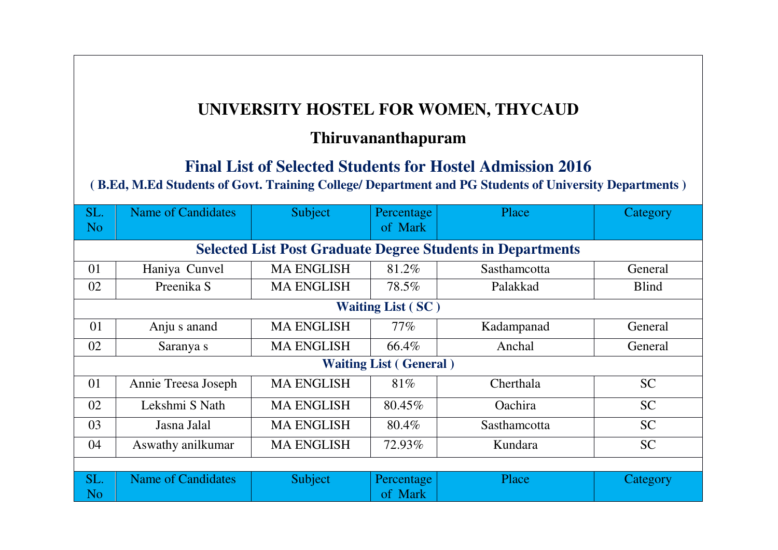## **UNIVERSITY HOSTEL FOR WOMEN, THYCAUD**

## **Thiruvananthapuram**

## **Final List of Selected Students for Hostel Admission 2016**

## **( B.Ed, M.Ed Students of Govt. Training College/ Department and PG Students of University Departments )**

| SL.<br>N <sub>o</sub>                                             | <b>Name of Candidates</b> | Subject           | Percentage<br>of Mark | Place          | Category     |  |  |  |
|-------------------------------------------------------------------|---------------------------|-------------------|-----------------------|----------------|--------------|--|--|--|
| <b>Selected List Post Graduate Degree Students in Departments</b> |                           |                   |                       |                |              |  |  |  |
| 01                                                                | Haniya Cunvel             | <b>MA ENGLISH</b> | 81.2%                 | Sasthamcotta   | General      |  |  |  |
| 02                                                                | Preenika S                | <b>MA ENGLISH</b> | 78.5%                 | Palakkad       | <b>Blind</b> |  |  |  |
| <b>Waiting List (SC)</b>                                          |                           |                   |                       |                |              |  |  |  |
| 01                                                                | Anju s anand              | <b>MA ENGLISH</b> | $77\%$                | Kadampanad     | General      |  |  |  |
| 02                                                                | Saranya s                 | <b>MA ENGLISH</b> | 66.4%                 | Anchal         | General      |  |  |  |
| <b>Waiting List (General)</b>                                     |                           |                   |                       |                |              |  |  |  |
| 01                                                                | Annie Treesa Joseph       | <b>MA ENGLISH</b> | 81%                   | Cherthala      | <b>SC</b>    |  |  |  |
| 02                                                                | Lekshmi S Nath            | <b>MA ENGLISH</b> | 80.45%                | <b>Oachira</b> | <b>SC</b>    |  |  |  |
| 03                                                                | Jasna Jalal               | <b>MA ENGLISH</b> | 80.4%                 | Sasthamcotta   | <b>SC</b>    |  |  |  |
| 04                                                                | Aswathy anilkumar         | <b>MA ENGLISH</b> | 72.93%                | Kundara        | <b>SC</b>    |  |  |  |
|                                                                   |                           |                   |                       |                |              |  |  |  |
| SL.<br>N <sub>o</sub>                                             | <b>Name of Candidates</b> | Subject           | Percentage<br>of Mark | Place          | Category     |  |  |  |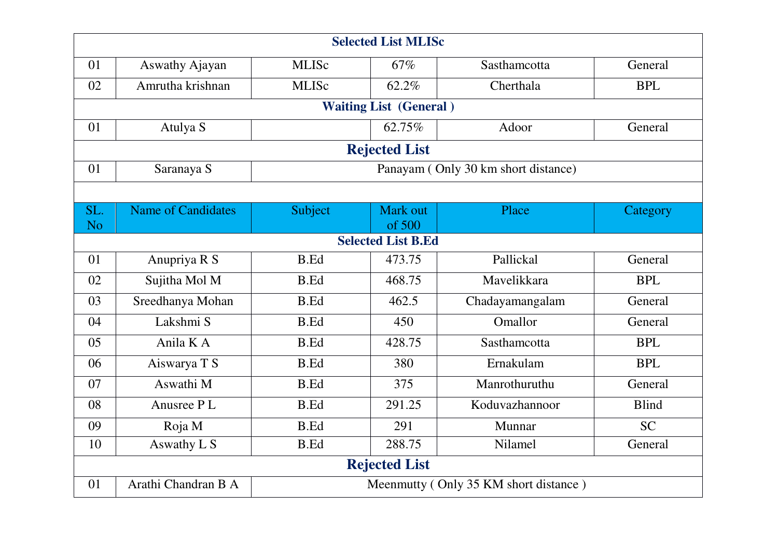| <b>Selected List MLISc</b>                            |                           |                                       |          |                 |              |  |  |  |
|-------------------------------------------------------|---------------------------|---------------------------------------|----------|-----------------|--------------|--|--|--|
| 01                                                    | Aswathy Ajayan            | <b>MLISc</b>                          | 67%      | Sasthamcotta    | General      |  |  |  |
| 02                                                    | Amrutha krishnan          | <b>MLISc</b>                          | 62.2%    | Cherthala       | <b>BPL</b>   |  |  |  |
| <b>Waiting List (General)</b>                         |                           |                                       |          |                 |              |  |  |  |
| 01                                                    | Atulya S                  |                                       | 62.75%   | Adoor           | General      |  |  |  |
| <b>Rejected List</b>                                  |                           |                                       |          |                 |              |  |  |  |
| 01                                                    | Saranaya S                | Panayam (Only 30 km short distance)   |          |                 |              |  |  |  |
|                                                       |                           |                                       |          |                 |              |  |  |  |
| SL.                                                   | <b>Name of Candidates</b> | Subject                               | Mark out | Place           | Category     |  |  |  |
| N <sub>o</sub><br>of 500<br><b>Selected List B.Ed</b> |                           |                                       |          |                 |              |  |  |  |
| 01                                                    | Anupriya R S              | <b>B.Ed</b>                           | 473.75   | Pallickal       | General      |  |  |  |
| 02                                                    | Sujitha Mol M             | <b>B.Ed</b>                           | 468.75   | Mavelikkara     | <b>BPL</b>   |  |  |  |
| 03                                                    | Sreedhanya Mohan          | <b>B.Ed</b>                           | 462.5    | Chadayamangalam | General      |  |  |  |
| 04                                                    | Lakshmi S                 | <b>B.Ed</b>                           | 450      | Omallor         | General      |  |  |  |
| 05                                                    | Anila K A                 | <b>B.Ed</b>                           | 428.75   | Sasthamcotta    | <b>BPL</b>   |  |  |  |
| 06                                                    | Aiswarya T S              | <b>B.Ed</b>                           | 380      | Ernakulam       | <b>BPL</b>   |  |  |  |
| 07                                                    | Aswathi M                 | <b>B.Ed</b>                           | 375      | Manrothuruthu   | General      |  |  |  |
| 08                                                    | Anusree PL                | <b>B.Ed</b>                           | 291.25   | Koduvazhannoor  | <b>Blind</b> |  |  |  |
| 09                                                    | Roja M                    | <b>B.Ed</b>                           | 291      | Munnar          | <b>SC</b>    |  |  |  |
| 10                                                    | Aswathy L S               | <b>B.Ed</b>                           | 288.75   | Nilamel         | General      |  |  |  |
| <b>Rejected List</b>                                  |                           |                                       |          |                 |              |  |  |  |
| 01                                                    | Arathi Chandran B A       | Meenmutty (Only 35 KM short distance) |          |                 |              |  |  |  |